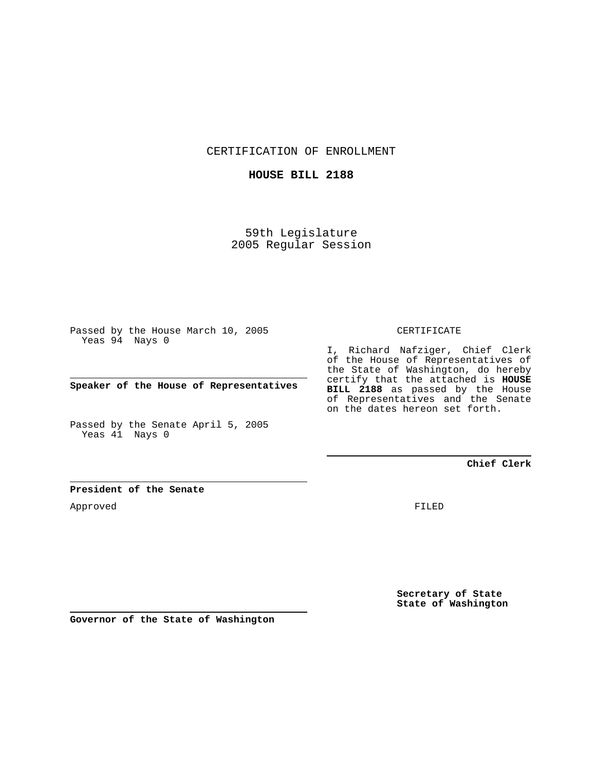CERTIFICATION OF ENROLLMENT

## **HOUSE BILL 2188**

59th Legislature 2005 Regular Session

Passed by the House March 10, 2005 Yeas 94 Nays 0

**Speaker of the House of Representatives**

Passed by the Senate April 5, 2005 Yeas 41 Nays 0

#### CERTIFICATE

I, Richard Nafziger, Chief Clerk of the House of Representatives of the State of Washington, do hereby certify that the attached is **HOUSE BILL 2188** as passed by the House of Representatives and the Senate on the dates hereon set forth.

### **Chief Clerk**

#### **President of the Senate**

Approved

FILED

**Secretary of State State of Washington**

**Governor of the State of Washington**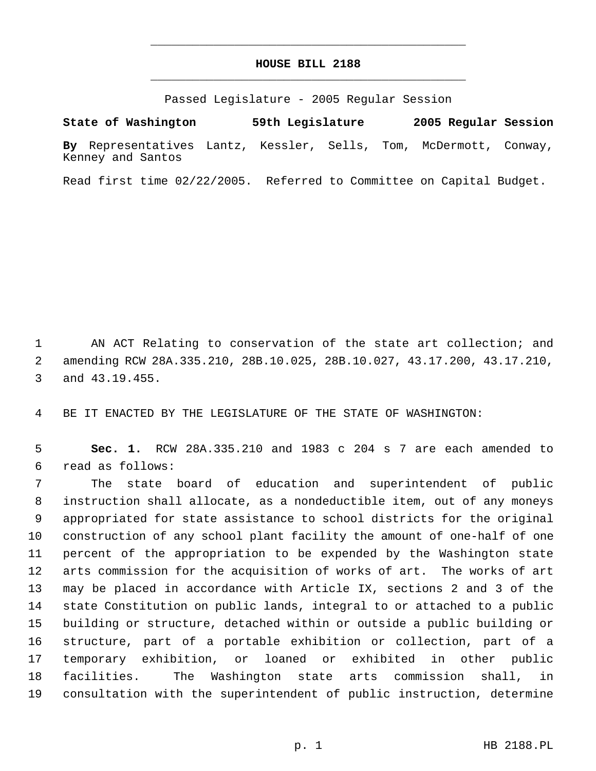# **HOUSE BILL 2188** \_\_\_\_\_\_\_\_\_\_\_\_\_\_\_\_\_\_\_\_\_\_\_\_\_\_\_\_\_\_\_\_\_\_\_\_\_\_\_\_\_\_\_\_\_

\_\_\_\_\_\_\_\_\_\_\_\_\_\_\_\_\_\_\_\_\_\_\_\_\_\_\_\_\_\_\_\_\_\_\_\_\_\_\_\_\_\_\_\_\_

Passed Legislature - 2005 Regular Session

**State of Washington 59th Legislature 2005 Regular Session By** Representatives Lantz, Kessler, Sells, Tom, McDermott, Conway, Kenney and Santos

Read first time 02/22/2005. Referred to Committee on Capital Budget.

 AN ACT Relating to conservation of the state art collection; and amending RCW 28A.335.210, 28B.10.025, 28B.10.027, 43.17.200, 43.17.210, and 43.19.455.

BE IT ENACTED BY THE LEGISLATURE OF THE STATE OF WASHINGTON:

 **Sec. 1.** RCW 28A.335.210 and 1983 c 204 s 7 are each amended to read as follows:

 The state board of education and superintendent of public instruction shall allocate, as a nondeductible item, out of any moneys appropriated for state assistance to school districts for the original construction of any school plant facility the amount of one-half of one percent of the appropriation to be expended by the Washington state arts commission for the acquisition of works of art. The works of art may be placed in accordance with Article IX, sections 2 and 3 of the state Constitution on public lands, integral to or attached to a public building or structure, detached within or outside a public building or structure, part of a portable exhibition or collection, part of a temporary exhibition, or loaned or exhibited in other public facilities. The Washington state arts commission shall, in consultation with the superintendent of public instruction, determine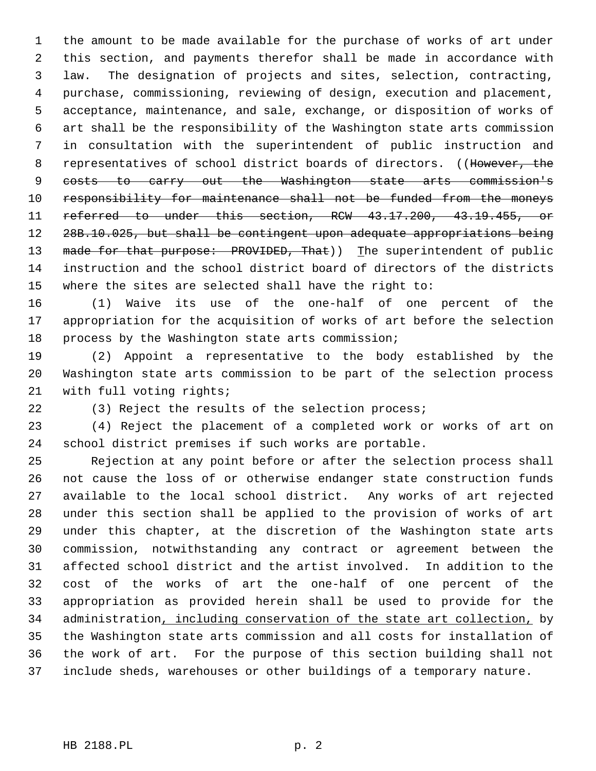the amount to be made available for the purchase of works of art under this section, and payments therefor shall be made in accordance with law. The designation of projects and sites, selection, contracting, purchase, commissioning, reviewing of design, execution and placement, acceptance, maintenance, and sale, exchange, or disposition of works of art shall be the responsibility of the Washington state arts commission in consultation with the superintendent of public instruction and 8 representatives of school district boards of directors. ((However, the costs to carry out the Washington state arts commission's responsibility for maintenance shall not be funded from the moneys referred to under this section, RCW 43.17.200, 43.19.455, or 28B.10.025, but shall be contingent upon adequate appropriations being 13 made for that purpose: PROVIDED, That)) The superintendent of public instruction and the school district board of directors of the districts where the sites are selected shall have the right to:

 (1) Waive its use of the one-half of one percent of the appropriation for the acquisition of works of art before the selection process by the Washington state arts commission;

 (2) Appoint a representative to the body established by the Washington state arts commission to be part of the selection process with full voting rights;

(3) Reject the results of the selection process;

 (4) Reject the placement of a completed work or works of art on school district premises if such works are portable.

 Rejection at any point before or after the selection process shall not cause the loss of or otherwise endanger state construction funds available to the local school district. Any works of art rejected under this section shall be applied to the provision of works of art under this chapter, at the discretion of the Washington state arts commission, notwithstanding any contract or agreement between the affected school district and the artist involved. In addition to the cost of the works of art the one-half of one percent of the appropriation as provided herein shall be used to provide for the 34 administration, including conservation of the state art collection, by the Washington state arts commission and all costs for installation of the work of art. For the purpose of this section building shall not include sheds, warehouses or other buildings of a temporary nature.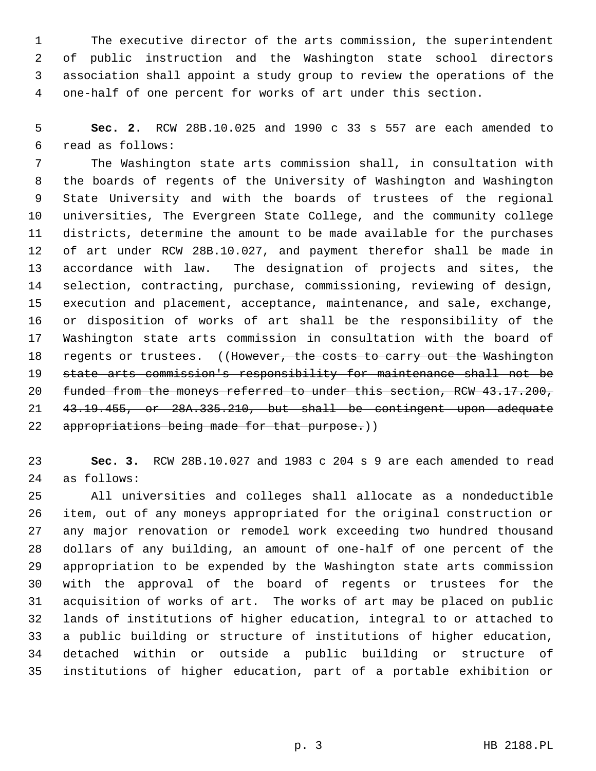The executive director of the arts commission, the superintendent of public instruction and the Washington state school directors association shall appoint a study group to review the operations of the one-half of one percent for works of art under this section.

 **Sec. 2.** RCW 28B.10.025 and 1990 c 33 s 557 are each amended to read as follows:

 The Washington state arts commission shall, in consultation with the boards of regents of the University of Washington and Washington State University and with the boards of trustees of the regional universities, The Evergreen State College, and the community college districts, determine the amount to be made available for the purchases of art under RCW 28B.10.027, and payment therefor shall be made in accordance with law. The designation of projects and sites, the selection, contracting, purchase, commissioning, reviewing of design, execution and placement, acceptance, maintenance, and sale, exchange, or disposition of works of art shall be the responsibility of the Washington state arts commission in consultation with the board of 18 regents or trustees. ((However, the costs to carry out the Washington state arts commission's responsibility for maintenance shall not be funded from the moneys referred to under this section, RCW 43.17.200, 43.19.455, or 28A.335.210, but shall be contingent upon adequate 22 appropriations being made for that purpose.))

 **Sec. 3.** RCW 28B.10.027 and 1983 c 204 s 9 are each amended to read as follows:

 All universities and colleges shall allocate as a nondeductible item, out of any moneys appropriated for the original construction or any major renovation or remodel work exceeding two hundred thousand dollars of any building, an amount of one-half of one percent of the appropriation to be expended by the Washington state arts commission with the approval of the board of regents or trustees for the acquisition of works of art. The works of art may be placed on public lands of institutions of higher education, integral to or attached to a public building or structure of institutions of higher education, detached within or outside a public building or structure of institutions of higher education, part of a portable exhibition or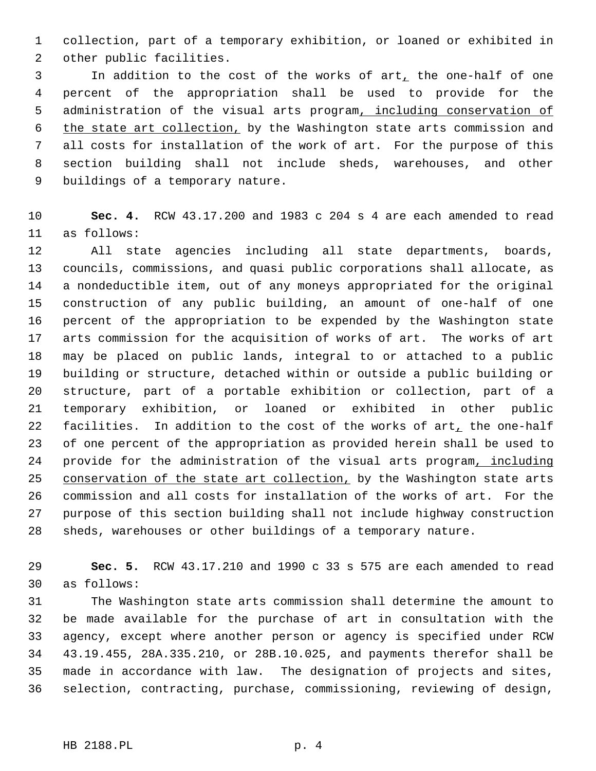collection, part of a temporary exhibition, or loaned or exhibited in other public facilities.

3 In addition to the cost of the works of art, the one-half of one percent of the appropriation shall be used to provide for the administration of the visual arts program, including conservation of the state art collection, by the Washington state arts commission and all costs for installation of the work of art. For the purpose of this section building shall not include sheds, warehouses, and other buildings of a temporary nature.

 **Sec. 4.** RCW 43.17.200 and 1983 c 204 s 4 are each amended to read as follows:

 All state agencies including all state departments, boards, councils, commissions, and quasi public corporations shall allocate, as a nondeductible item, out of any moneys appropriated for the original construction of any public building, an amount of one-half of one percent of the appropriation to be expended by the Washington state arts commission for the acquisition of works of art. The works of art may be placed on public lands, integral to or attached to a public building or structure, detached within or outside a public building or structure, part of a portable exhibition or collection, part of a temporary exhibition, or loaned or exhibited in other public 22 facilities. In addition to the cost of the works of art, the one-half of one percent of the appropriation as provided herein shall be used to provide for the administration of the visual arts program, including 25 conservation of the state art collection, by the Washington state arts commission and all costs for installation of the works of art. For the purpose of this section building shall not include highway construction sheds, warehouses or other buildings of a temporary nature.

 **Sec. 5.** RCW 43.17.210 and 1990 c 33 s 575 are each amended to read as follows:

 The Washington state arts commission shall determine the amount to be made available for the purchase of art in consultation with the agency, except where another person or agency is specified under RCW 43.19.455, 28A.335.210, or 28B.10.025, and payments therefor shall be made in accordance with law. The designation of projects and sites, selection, contracting, purchase, commissioning, reviewing of design,